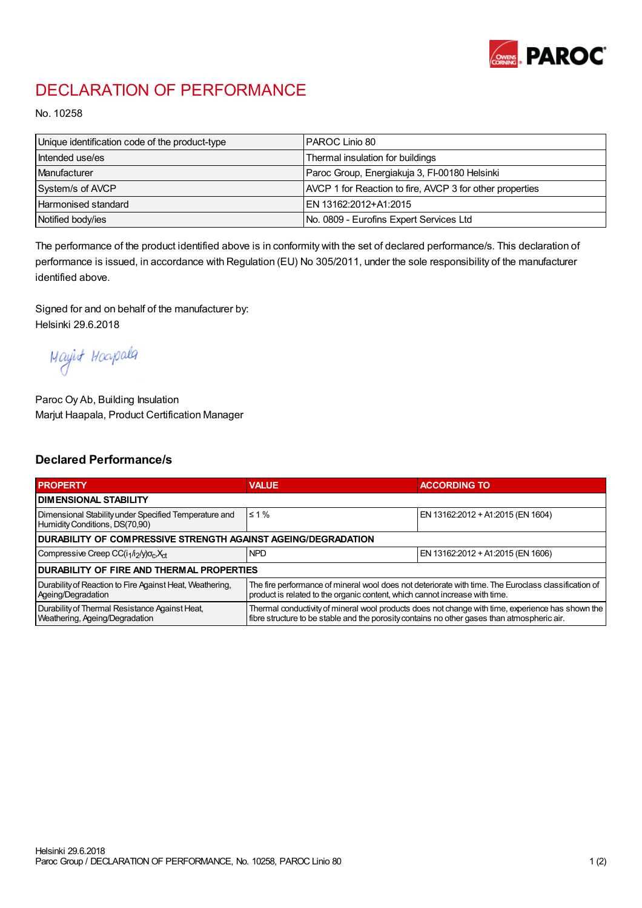

## DECLARATION OF PERFORMANCE

No. 10258

| Unique identification code of the product-type | IPAROC Linio 80                                          |
|------------------------------------------------|----------------------------------------------------------|
| Intended use/es                                | Thermal insulation for buildings                         |
| Manufacturer                                   | Paroc Group, Energiakuja 3, FI-00180 Helsinki            |
| System/s of AVCP                               | AVCP 1 for Reaction to fire, AVCP 3 for other properties |
| Harmonised standard                            | IEN 13162:2012+A1:2015                                   |
| Notified body/ies                              | No. 0809 - Eurofins Expert Services Ltd                  |

The performance of the product identified above is in conformity with the set of declared performance/s. This declaration of performance is issued, in accordance with Regulation (EU) No 305/2011, under the sole responsibility of the manufacturer identified above.

Signed for and on behalf of the manufacturer by: Helsinki 29.6.2018

Mayint Hoapala

Paroc Oy Ab, Building Insulation Marjut Haapala, Product Certification Manager

## Declared Performance/s

| <b>PROPERTY</b>                                                                         | <b>VALUE</b>                                                                                                                                                                                     | <b>ACCORDING TO</b>               |  |  |
|-----------------------------------------------------------------------------------------|--------------------------------------------------------------------------------------------------------------------------------------------------------------------------------------------------|-----------------------------------|--|--|
| <b>I DIMENSIONAL STABILITY</b>                                                          |                                                                                                                                                                                                  |                                   |  |  |
| Dimensional Stability under Specified Temperature and<br>Humidity Conditions, DS(70,90) | $\leq 1\%$                                                                                                                                                                                       | EN 13162:2012 + A1:2015 (EN 1604) |  |  |
| <b>DURABILITY OF COMPRESSIVE STRENGTH AGAINST AGEING/DEGRADATION</b>                    |                                                                                                                                                                                                  |                                   |  |  |
| Compressive Creep CC(i <sub>1</sub> /i <sub>2</sub> /y) $\sigma_c X_{ct}$               | <b>NPD</b>                                                                                                                                                                                       | EN 13162:2012 + A1:2015 (EN 1606) |  |  |
| IDURABILITY OF FIRE AND THERMAL PROPERTIES                                              |                                                                                                                                                                                                  |                                   |  |  |
| Durability of Reaction to Fire Against Heat, Weathering,<br>Ageing/Degradation          | The fire performance of mineral wool does not deteriorate with time. The Euroclass classification of<br>product is related to the organic content, which cannot increase with time.              |                                   |  |  |
| Durability of Thermal Resistance Against Heat,<br>Weathering, Ageing/Degradation        | Thermal conductivity of mineral wool products does not change with time, experience has shown the<br>fibre structure to be stable and the porosity contains no other gases than atmospheric air. |                                   |  |  |